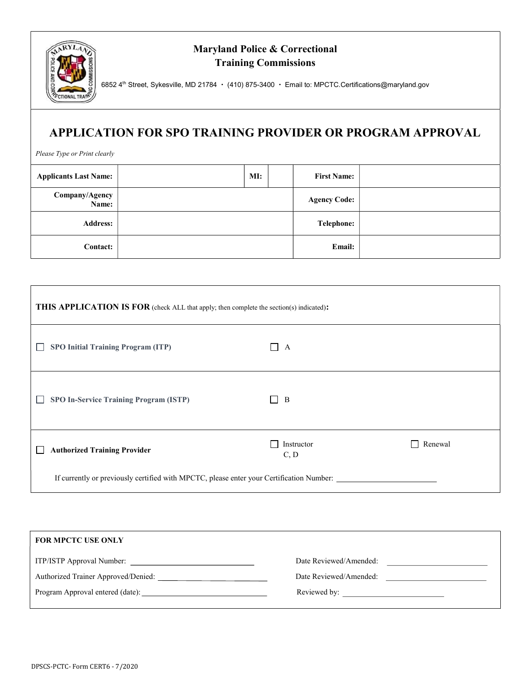

## Maryland Police & Correctional Training Commissions

6852 4<sup>th</sup> Street, Sykesville, MD 21784 · (410) 875-3400 · Email to: MPCTC.Certifications@maryland.gov

## APPLICATION FOR SPO TRAINING PROVIDER OR PROGRAM APPROVAL

Please Type or Print clearly

| <b>Applicants Last Name:</b> | MI: | <b>First Name:</b>  |  |
|------------------------------|-----|---------------------|--|
| Company/Agency<br>Name:      |     | <b>Agency Code:</b> |  |
| <b>Address:</b>              |     | <b>Telephone:</b>   |  |
| <b>Contact:</b>              |     | Email:              |  |

| <b>THIS APPLICATION IS FOR</b> (check ALL that apply; then complete the section(s) indicated): |                     |         |  |
|------------------------------------------------------------------------------------------------|---------------------|---------|--|
| <b>SPO Initial Training Program (ITP)</b>                                                      | $\Box$ A            |         |  |
| <b>SPO In-Service Training Program (ISTP)</b>                                                  | B<br>$\blacksquare$ |         |  |
| <b>Authorized Training Provider</b>                                                            | Instructor<br>C, D  | Renewal |  |
| If currently or previously certified with MPCTC, please enter your Certification Number:       |                     |         |  |

| Date Reviewed/Amended: |
|------------------------|
| Date Reviewed/Amended: |
|                        |
|                        |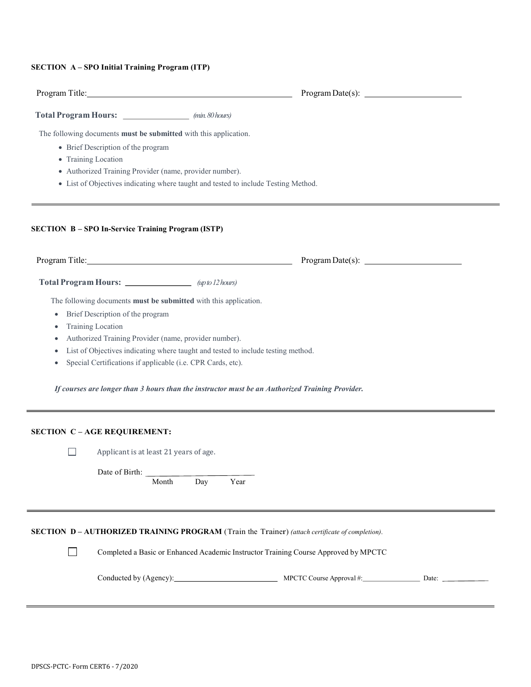## SECTION A – SPO Initial Training Program (ITP)

| Program Title: No. 1996. The Contract of the Contract of the Contract of the Contract of the Contract of the Contract of the Contract of the Contract of the Contract of the Contract of the Contract of the Contract of the C                                                            |                                                                                    |  |
|-------------------------------------------------------------------------------------------------------------------------------------------------------------------------------------------------------------------------------------------------------------------------------------------|------------------------------------------------------------------------------------|--|
| Total Program Hours: _____________________ (min. 80 hours)                                                                                                                                                                                                                                |                                                                                    |  |
| The following documents must be submitted with this application.                                                                                                                                                                                                                          |                                                                                    |  |
| • Brief Description of the program                                                                                                                                                                                                                                                        |                                                                                    |  |
| • Training Location                                                                                                                                                                                                                                                                       |                                                                                    |  |
| · Authorized Training Provider (name, provider number).                                                                                                                                                                                                                                   |                                                                                    |  |
|                                                                                                                                                                                                                                                                                           | • List of Objectives indicating where taught and tested to include Testing Method. |  |
| <b>SECTION B-SPO In-Service Training Program (ISTP)</b><br>Program Title: No. 1996. The Contract of the Contract of the Contract of the Contract of the Contract of the Contract of the Contract of the Contract of the Contract of the Contract of the Contract of the Contract of the C |                                                                                    |  |
| Total Program Hours: <u>__________________</u> (up to 12 hours)                                                                                                                                                                                                                           |                                                                                    |  |
|                                                                                                                                                                                                                                                                                           |                                                                                    |  |
| The following documents must be submitted with this application.                                                                                                                                                                                                                          |                                                                                    |  |
| Brief Description of the program<br>$\bullet$                                                                                                                                                                                                                                             |                                                                                    |  |
| <b>Training Location</b><br>٠                                                                                                                                                                                                                                                             |                                                                                    |  |
| Authorized Training Provider (name, provider number).                                                                                                                                                                                                                                     |                                                                                    |  |
|                                                                                                                                                                                                                                                                                           | List of Objectives indicating where taught and tested to include testing method.   |  |
| Special Certifications if applicable (i.e. CPR Cards, etc).<br>٠                                                                                                                                                                                                                          |                                                                                    |  |
| If courses are longer than 3 hours than the instructor must be an Authorized Training Provider.                                                                                                                                                                                           |                                                                                    |  |
| <b>SECTION C-AGE REQUIREMENT:</b>                                                                                                                                                                                                                                                         |                                                                                    |  |
| Applicant is at least 21 years of age.<br>$\mathsf{L}$                                                                                                                                                                                                                                    |                                                                                    |  |
| Date of Birth:                                                                                                                                                                                                                                                                            |                                                                                    |  |
| Month                                                                                                                                                                                                                                                                                     | Year<br>Day                                                                        |  |

SECTION D – AUTHORIZED TRAINING PROGRAM (Train the Trainer) (attach certificate of completion).

Completed a Basic or Enhanced Academic Instructor Training Course Approved by MPCTC

| Conducted by<br>A gency' | <b>MPCTC</b><br>Approval #<br>ourse | Jate |  |
|--------------------------|-------------------------------------|------|--|
|--------------------------|-------------------------------------|------|--|